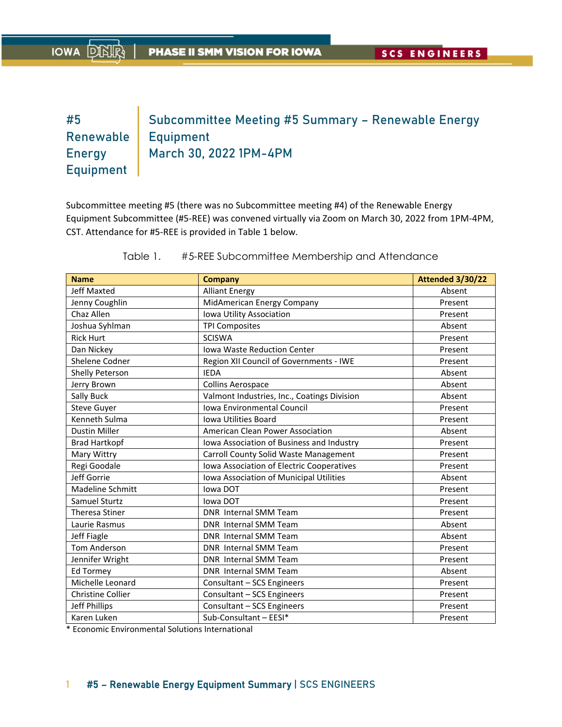# #5 Subcommittee Meeting #5 Summary – Renewable Energy Renewable | Equipment Energy March 30, 2022 1PM-4PM Equipment

Subcommittee meeting #5 (there was no Subcommittee meeting #4) of the Renewable Energy Equipment Subcommittee (#5‐REE) was convened virtually via Zoom on March 30, 2022 from 1PM‐4PM, CST. Attendance for #5‐REE is provided in Table 1 below.

| <b>Name</b>              | <b>Company</b>                              | <b>Attended 3/30/22</b> |
|--------------------------|---------------------------------------------|-------------------------|
| <b>Jeff Maxted</b>       | <b>Alliant Energy</b>                       | Absent                  |
| Jenny Coughlin           | MidAmerican Energy Company                  | Present                 |
| Chaz Allen               | Iowa Utility Association                    | Present                 |
| Joshua Syhlman           | <b>TPI Composites</b>                       | Absent                  |
| <b>Rick Hurt</b>         | <b>SCISWA</b>                               | Present                 |
| Dan Nickey               | <b>Iowa Waste Reduction Center</b>          | Present                 |
| Shelene Codner           | Region XII Council of Governments - IWE     | Present                 |
| Shelly Peterson          | <b>IFDA</b>                                 | Absent                  |
| Jerry Brown              | <b>Collins Aerospace</b>                    | Absent                  |
| Sally Buck               | Valmont Industries, Inc., Coatings Division | Absent                  |
| <b>Steve Guyer</b>       | <b>Iowa Environmental Council</b>           | Present                 |
| Kenneth Sulma            | <b>Iowa Utilities Board</b>                 | Present                 |
| <b>Dustin Miller</b>     | American Clean Power Association            | Absent                  |
| <b>Brad Hartkopf</b>     | Iowa Association of Business and Industry   | Present                 |
| Mary Wittry              | Carroll County Solid Waste Management       | Present                 |
| Regi Goodale             | Iowa Association of Electric Cooperatives   | Present                 |
| Jeff Gorrie              | Iowa Association of Municipal Utilities     | Absent                  |
| <b>Madeline Schmitt</b>  | lowa DOT                                    | Present                 |
| Samuel Sturtz            | Iowa DOT                                    | Present                 |
| <b>Theresa Stiner</b>    | DNR Internal SMM Team                       | Present                 |
| Laurie Rasmus            | DNR Internal SMM Team                       | Absent                  |
| Jeff Fiagle              | <b>DNR</b> Internal SMM Team                | Absent                  |
| <b>Tom Anderson</b>      | DNR Internal SMM Team                       | Present                 |
| Jennifer Wright          | DNR Internal SMM Team                       | Present                 |
| <b>Ed Tormey</b>         | DNR Internal SMM Team                       | Absent                  |
| Michelle Leonard         | Consultant - SCS Engineers                  | Present                 |
| <b>Christine Collier</b> | Consultant - SCS Engineers                  | Present                 |
| Jeff Phillips            | Consultant - SCS Engineers                  | Present                 |
| Karen Luken              | Sub-Consultant - EESI*                      | Present                 |

Table 1. #5-REE Subcommittee Membership and Attendance

\* Economic Environmental Solutions International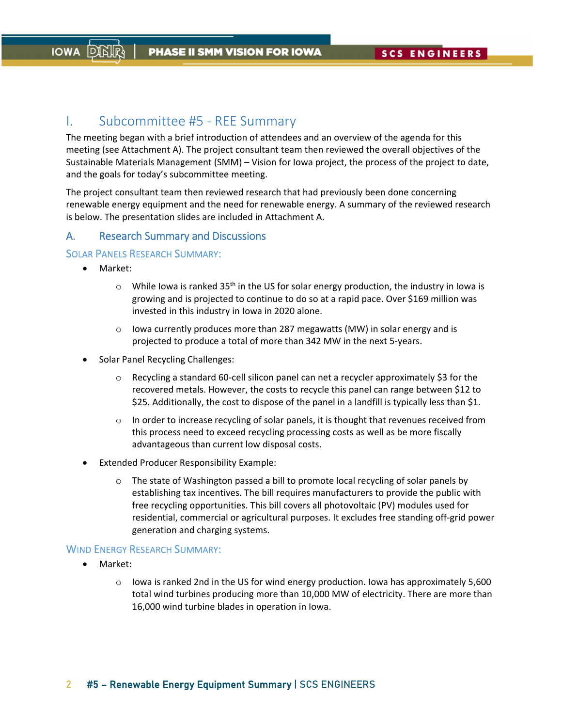# I. Subcommittee #5 ‐ REE Summary

The meeting began with a brief introduction of attendees and an overview of the agenda for this meeting (see Attachment A). The project consultant team then reviewed the overall objectives of the Sustainable Materials Management (SMM) – Vision for Iowa project, the process of the project to date, and the goals for today's subcommittee meeting.

The project consultant team then reviewed research that had previously been done concerning renewable energy equipment and the need for renewable energy. A summary of the reviewed research is below. The presentation slides are included in Attachment A.

# A. Research Summary and Discussions

# SOLAR PANELS RESEARCH SUMMARY:

- Market:
	- $\circ$  While Iowa is ranked 35<sup>th</sup> in the US for solar energy production, the industry in Iowa is growing and is projected to continue to do so at a rapid pace. Over \$169 million was invested in this industry in Iowa in 2020 alone.
	- o Iowa currently produces more than 287 megawatts (MW) in solar energy and is projected to produce a total of more than 342 MW in the next 5‐years.
- Solar Panel Recycling Challenges:
	- o Recycling a standard 60‐cell silicon panel can net a recycler approximately \$3 for the recovered metals. However, the costs to recycle this panel can range between \$12 to \$25. Additionally, the cost to dispose of the panel in a landfill is typically less than \$1.
	- $\circ$  In order to increase recycling of solar panels, it is thought that revenues received from this process need to exceed recycling processing costs as well as be more fiscally advantageous than current low disposal costs.
- Extended Producer Responsibility Example:
	- $\circ$  The state of Washington passed a bill to promote local recycling of solar panels by establishing tax incentives. The bill requires manufacturers to provide the public with free recycling opportunities. This bill covers all photovoltaic (PV) modules used for residential, commercial or agricultural purposes. It excludes free standing off‐grid power generation and charging systems.

### WIND ENERGY RESEARCH SUMMARY:

- Market:
	- $\circ$  Iowa is ranked 2nd in the US for wind energy production. Iowa has approximately 5,600 total wind turbines producing more than 10,000 MW of electricity. There are more than 16,000 wind turbine blades in operation in Iowa.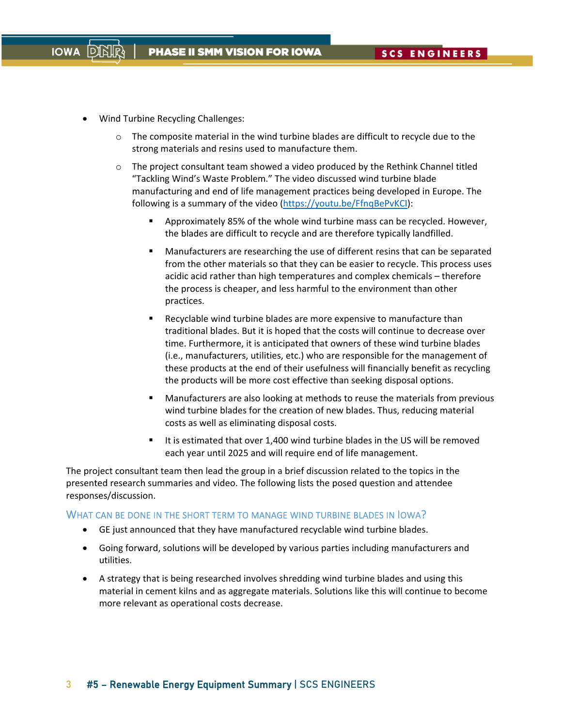Wind Turbine Recycling Challenges:

**IOWA** 

- $\circ$  The composite material in the wind turbine blades are difficult to recycle due to the strong materials and resins used to manufacture them.
- $\circ$  The project consultant team showed a video produced by the Rethink Channel titled "Tackling Wind's Waste Problem." The video discussed wind turbine blade manufacturing and end of life management practices being developed in Europe. The following is a summary of the video (https://youtu.be/FfnqBePvKCI):
	- Approximately 85% of the whole wind turbine mass can be recycled. However, the blades are difficult to recycle and are therefore typically landfilled.
	- Manufacturers are researching the use of different resins that can be separated from the other materials so that they can be easier to recycle. This process uses acidic acid rather than high temperatures and complex chemicals – therefore the process is cheaper, and less harmful to the environment than other practices.
	- Recyclable wind turbine blades are more expensive to manufacture than traditional blades. But it is hoped that the costs will continue to decrease over time. Furthermore, it is anticipated that owners of these wind turbine blades (i.e., manufacturers, utilities, etc.) who are responsible for the management of these products at the end of their usefulness will financially benefit as recycling the products will be more cost effective than seeking disposal options.
	- Manufacturers are also looking at methods to reuse the materials from previous wind turbine blades for the creation of new blades. Thus, reducing material costs as well as eliminating disposal costs.
	- It is estimated that over 1,400 wind turbine blades in the US will be removed each year until 2025 and will require end of life management.

The project consultant team then lead the group in a brief discussion related to the topics in the presented research summaries and video. The following lists the posed question and attendee responses/discussion.

#### WHAT CAN BE DONE IN THE SHORT TERM TO MANAGE WIND TURBINE BLADES IN IOWA?

- GE just announced that they have manufactured recyclable wind turbine blades.
- Going forward, solutions will be developed by various parties including manufacturers and utilities.
- A strategy that is being researched involves shredding wind turbine blades and using this material in cement kilns and as aggregate materials. Solutions like this will continue to become more relevant as operational costs decrease.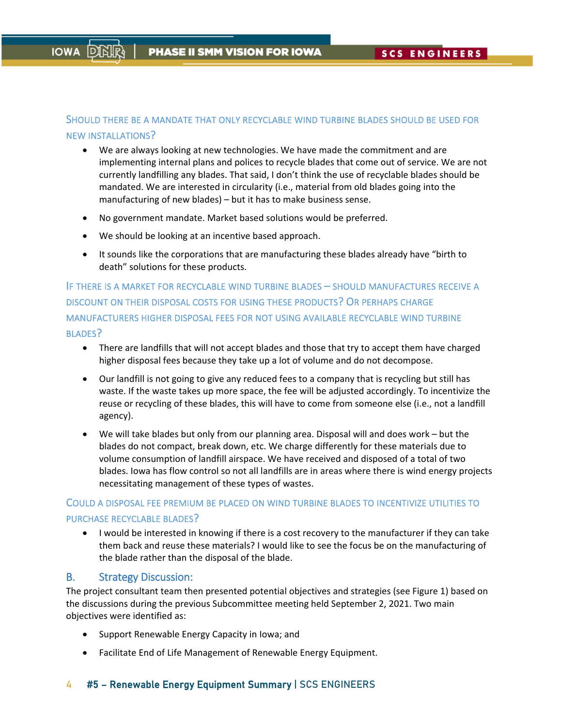# SHOULD THERE BE A MANDATE THAT ONLY RECYCLABLE WIND TURBINE BLADES SHOULD BE USED FOR NEW INSTALLATIONS?

- We are always looking at new technologies. We have made the commitment and are implementing internal plans and polices to recycle blades that come out of service. We are not currently landfilling any blades. That said, I don't think the use of recyclable blades should be mandated. We are interested in circularity (i.e., material from old blades going into the manufacturing of new blades) – but it has to make business sense.
- No government mandate. Market based solutions would be preferred.
- We should be looking at an incentive based approach.
- It sounds like the corporations that are manufacturing these blades already have "birth to death" solutions for these products.

IF THERE IS A MARKET FOR RECYCLABLE WIND TURBINE BLADES – SHOULD MANUFACTURES RECEIVE A DISCOUNT ON THEIR DISPOSAL COSTS FOR USING THESE PRODUCTS? OR PERHAPS CHARGE MANUFACTURERS HIGHER DISPOSAL FEES FOR NOT USING AVAILABLE RECYCLABLE WIND TURBINE BLADES?

- There are landfills that will not accept blades and those that try to accept them have charged higher disposal fees because they take up a lot of volume and do not decompose.
- Our landfill is not going to give any reduced fees to a company that is recycling but still has waste. If the waste takes up more space, the fee will be adjusted accordingly. To incentivize the reuse or recycling of these blades, this will have to come from someone else (i.e., not a landfill agency).
- We will take blades but only from our planning area. Disposal will and does work but the blades do not compact, break down, etc. We charge differently for these materials due to volume consumption of landfill airspace. We have received and disposed of a total of two blades. Iowa has flow control so not all landfills are in areas where there is wind energy projects necessitating management of these types of wastes.

# COULD A DISPOSAL FEE PREMIUM BE PLACED ON WIND TURBINE BLADES TO INCENTIVIZE UTILITIES TO PURCHASE RECYCLABLE BLADES?

 I would be interested in knowing if there is a cost recovery to the manufacturer if they can take them back and reuse these materials? I would like to see the focus be on the manufacturing of the blade rather than the disposal of the blade.

# B. Strategy Discussion:

The project consultant team then presented potential objectives and strategies (see Figure 1) based on the discussions during the previous Subcommittee meeting held September 2, 2021. Two main objectives were identified as:

- Support Renewable Energy Capacity in Iowa; and
- Facilitate End of Life Management of Renewable Energy Equipment.

# 4 #5 - Renewable Energy Equipment Summary | SCS ENGINEERS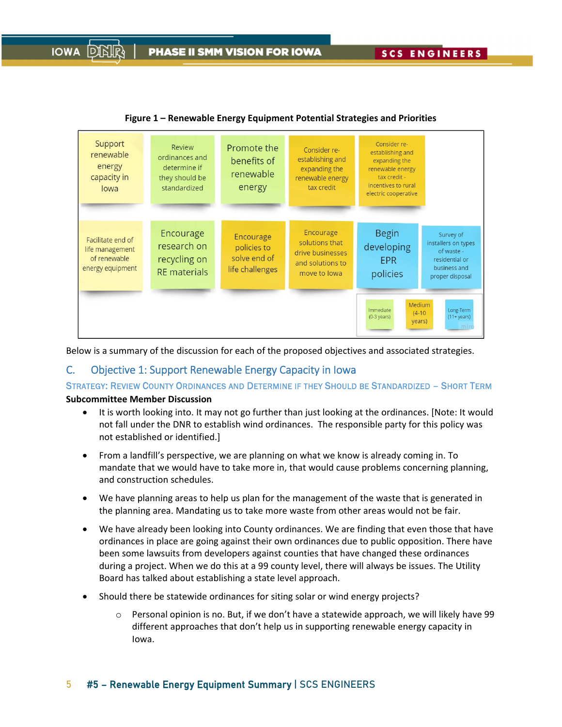

**Figure 1 – Renewable Energy Equipment Potential Strategies and Priorities**

Below is a summary of the discussion for each of the proposed objectives and associated strategies.

# C. Objective 1: Support Renewable Energy Capacity in Iowa

STRATEGY: REVIEW COUNTY ORDINANCES AND DETERMINE IF THEY SHOULD BE STANDARDIZED – SHORT TERM

# **Subcommittee Member Discussion**

**IOWA** 

- It is worth looking into. It may not go further than just looking at the ordinances. [Note: It would not fall under the DNR to establish wind ordinances. The responsible party for this policy was not established or identified.]
- From a landfill's perspective, we are planning on what we know is already coming in. To mandate that we would have to take more in, that would cause problems concerning planning, and construction schedules.
- We have planning areas to help us plan for the management of the waste that is generated in the planning area. Mandating us to take more waste from other areas would not be fair.
- We have already been looking into County ordinances. We are finding that even those that have ordinances in place are going against their own ordinances due to public opposition. There have been some lawsuits from developers against counties that have changed these ordinances during a project. When we do this at a 99 county level, there will always be issues. The Utility Board has talked about establishing a state level approach.
- Should there be statewide ordinances for siting solar or wind energy projects?
	- $\circ$  Personal opinion is no. But, if we don't have a statewide approach, we will likely have 99 different approaches that don't help us in supporting renewable energy capacity in Iowa.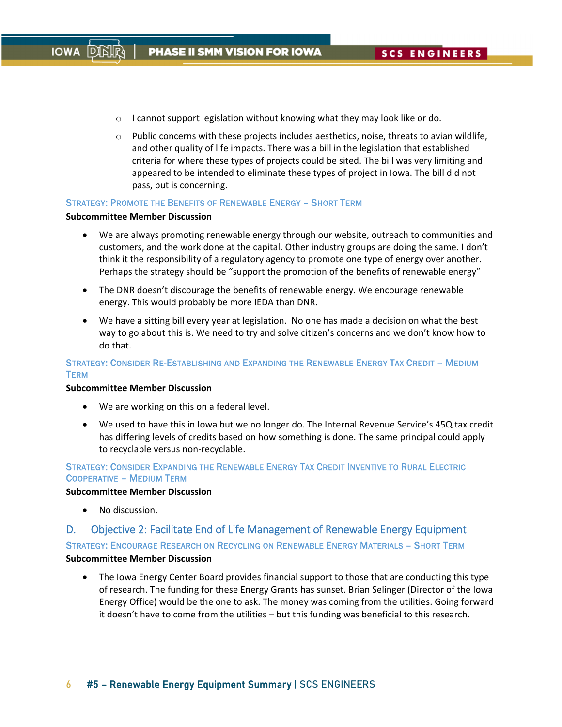- $\circ$  I cannot support legislation without knowing what they may look like or do.
- $\circ$  Public concerns with these projects includes aesthetics, noise, threats to avian wildlife, and other quality of life impacts. There was a bill in the legislation that established criteria for where these types of projects could be sited. The bill was very limiting and appeared to be intended to eliminate these types of project in Iowa. The bill did not pass, but is concerning.

#### STRATEGY: PROMOTE THE BENEFITS OF RENEWABLE ENERGY – SHORT TERM

#### **Subcommittee Member Discussion**

- We are always promoting renewable energy through our website, outreach to communities and customers, and the work done at the capital. Other industry groups are doing the same. I don't think it the responsibility of a regulatory agency to promote one type of energy over another. Perhaps the strategy should be "support the promotion of the benefits of renewable energy"
- The DNR doesn't discourage the benefits of renewable energy. We encourage renewable energy. This would probably be more IEDA than DNR.
- We have a sitting bill every year at legislation. No one has made a decision on what the best way to go about this is. We need to try and solve citizen's concerns and we don't know how to do that.

# STRATEGY: CONSIDER RE-ESTABLISHING AND EXPANDING THE RENEWABLE ENERGY TAX CREDIT – MEDIUM **TERM**

#### **Subcommittee Member Discussion**

- We are working on this on a federal level.
- We used to have this in Iowa but we no longer do. The Internal Revenue Service's 45Q tax credit has differing levels of credits based on how something is done. The same principal could apply to recyclable versus non‐recyclable.

# STRATEGY: CONSIDER EXPANDING THE RENEWABLE ENERGY TAX CREDIT INVENTIVE TO RURAL ELECTRIC COOPERATIVE – MEDIUM TERM

#### **Subcommittee Member Discussion**

No discussion.

# D. Objective 2: Facilitate End of Life Management of Renewable Energy Equipment

STRATEGY: ENCOURAGE RESEARCH ON RECYCLING ON RENEWABLE ENERGY MATERIALS – SHORT TERM

#### **Subcommittee Member Discussion**

• The Iowa Energy Center Board provides financial support to those that are conducting this type of research. The funding for these Energy Grants has sunset. Brian Selinger (Director of the Iowa Energy Office) would be the one to ask. The money was coming from the utilities. Going forward it doesn't have to come from the utilities – but this funding was beneficial to this research.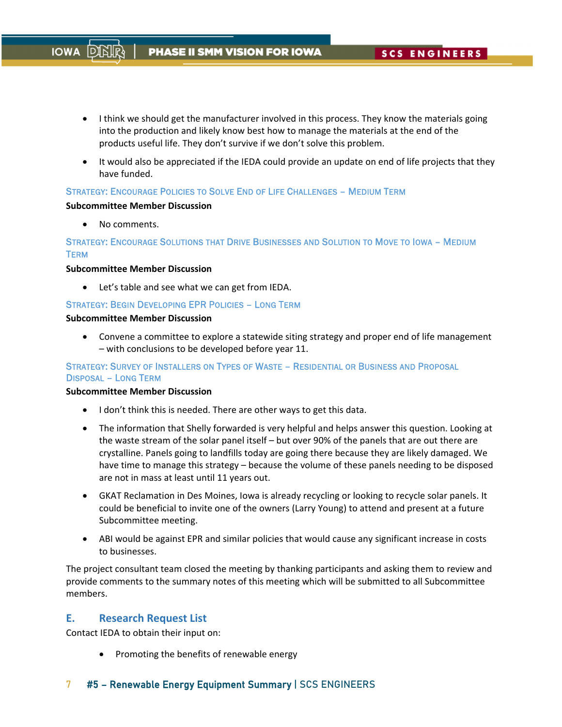- I think we should get the manufacturer involved in this process. They know the materials going into the production and likely know best how to manage the materials at the end of the products useful life. They don't survive if we don't solve this problem.
- It would also be appreciated if the IEDA could provide an update on end of life projects that they have funded.

### STRATEGY: ENCOURAGE POLICIES TO SOLVE END OF LIFE CHALLENGES – MEDIUM TERM

#### **Subcommittee Member Discussion**

• No comments.

**IOWA** 

# STRATEGY: ENCOURAGE SOLUTIONS THAT DRIVE BUSINESSES AND SOLUTION TO MOVE TO IOWA – MEDIUM **TERM**

#### **Subcommittee Member Discussion**

Let's table and see what we can get from IEDA.

### STRATEGY: BEGIN DEVELOPING EPR POLICIES – LONG TERM

#### **Subcommittee Member Discussion**

 Convene a committee to explore a statewide siting strategy and proper end of life management – with conclusions to be developed before year 11.

# STRATEGY: SURVEY OF INSTALLERS ON TYPES OF WASTE – RESIDENTIAL OR BUSINESS AND PROPOSAL DISPOSAL – LONG TERM

#### **Subcommittee Member Discussion**

- I don't think this is needed. There are other ways to get this data.
- The information that Shelly forwarded is very helpful and helps answer this question. Looking at the waste stream of the solar panel itself – but over 90% of the panels that are out there are crystalline. Panels going to landfills today are going there because they are likely damaged. We have time to manage this strategy – because the volume of these panels needing to be disposed are not in mass at least until 11 years out.
- GKAT Reclamation in Des Moines, Iowa is already recycling or looking to recycle solar panels. It could be beneficial to invite one of the owners (Larry Young) to attend and present at a future Subcommittee meeting.
- ABI would be against EPR and similar policies that would cause any significant increase in costs to businesses.

The project consultant team closed the meeting by thanking participants and asking them to review and provide comments to the summary notes of this meeting which will be submitted to all Subcommittee members.

# **E. Research Request List**

Contact IEDA to obtain their input on:

Promoting the benefits of renewable energy

# 7 #5 - Renewable Energy Equipment Summary | SCS ENGINEERS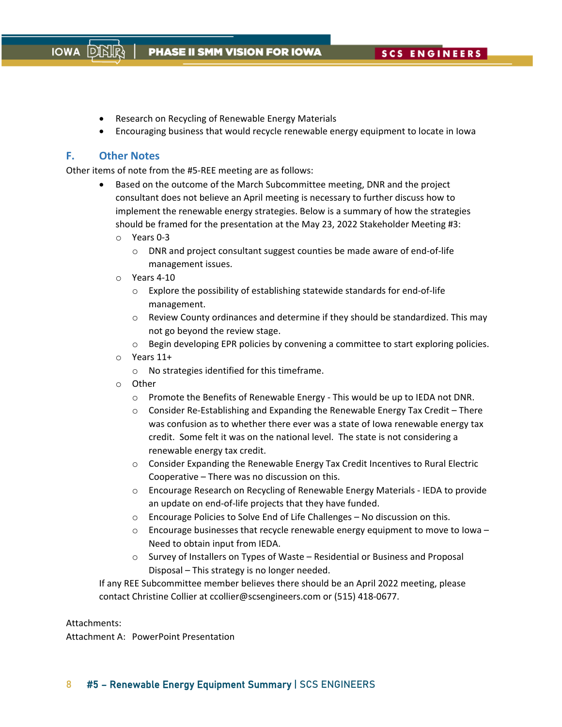- Research on Recycling of Renewable Energy Materials
- Encouraging business that would recycle renewable energy equipment to locate in Iowa

# **F. Other Notes**

Other items of note from the #5‐REE meeting are as follows:

- Based on the outcome of the March Subcommittee meeting, DNR and the project consultant does not believe an April meeting is necessary to further discuss how to implement the renewable energy strategies. Below is a summary of how the strategies should be framed for the presentation at the May 23, 2022 Stakeholder Meeting #3:
	- o Years 0‐3
		- o DNR and project consultant suggest counties be made aware of end‐of‐life management issues.
	- o Years 4‐10
		- o Explore the possibility of establishing statewide standards for end‐of‐life management.
		- o Review County ordinances and determine if they should be standardized. This may not go beyond the review stage.
		- $\circ$  Begin developing EPR policies by convening a committee to start exploring policies.
	- o Years 11+
		- o No strategies identified for this timeframe.
	- o Other
		- o Promote the Benefits of Renewable Energy ‐ This would be up to IEDA not DNR.
		- o Consider Re‐Establishing and Expanding the Renewable Energy Tax Credit There was confusion as to whether there ever was a state of Iowa renewable energy tax credit. Some felt it was on the national level. The state is not considering a renewable energy tax credit.
		- o Consider Expanding the Renewable Energy Tax Credit Incentives to Rural Electric Cooperative – There was no discussion on this.
		- o Encourage Research on Recycling of Renewable Energy Materials ‐ IEDA to provide an update on end‐of‐life projects that they have funded.
		- o Encourage Policies to Solve End of Life Challenges No discussion on this.
		- $\circ$  Encourage businesses that recycle renewable energy equipment to move to Iowa Need to obtain input from IEDA.
		- o Survey of Installers on Types of Waste Residential or Business and Proposal Disposal – This strategy is no longer needed.

If any REE Subcommittee member believes there should be an April 2022 meeting, please contact Christine Collier at ccollier@scsengineers.com or (515) 418‐0677.

#### Attachments:

Attachment A: PowerPoint Presentation